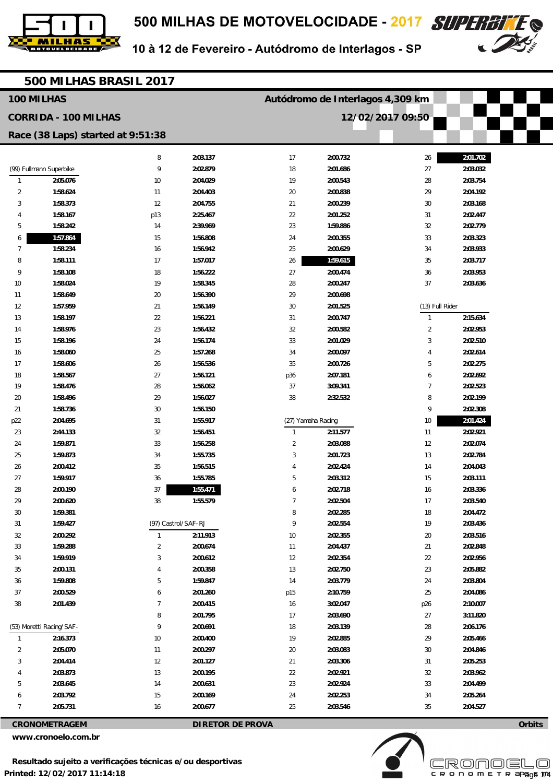



| 500 MILHAS BRASIL 2017      |                                   |                     |                                  |                    |                      |                 |                      |  |
|-----------------------------|-----------------------------------|---------------------|----------------------------------|--------------------|----------------------|-----------------|----------------------|--|
| 100 MILHAS                  |                                   |                     | Autódromo de Interlagos 4,309 km |                    |                      |                 |                      |  |
| <b>CORRIDA - 100 MILHAS</b> |                                   |                     |                                  |                    | 12/02/2017 09:50     |                 |                      |  |
|                             | Race (38 Laps) started at 9:51:38 |                     |                                  |                    |                      |                 |                      |  |
|                             |                                   | 8                   | 2:03.137                         | 17                 | 2:00.732             | 26              | 2:01.702             |  |
|                             | (99) Fullmann Superbike           | 9                   | 2:02.879                         | 18                 | 2:01.686             | 27              | 2:03.032             |  |
| $\mathbf{1}$                | 2:05.076                          | 10                  | 2:04.029                         | 19                 | 2:00.543             | 28              | 2:03.754             |  |
| 2                           | 1:58.624                          | 11                  | 2:04.403                         | 20                 | 2:00.838             | 29              | 2:04.192             |  |
| 3                           | 1:58.373                          | 12                  | 2:04.755                         | 21                 | 2:00.239             | $30\,$          | 2:03.168             |  |
| 4                           | 1:58.167                          | p13                 | 2:25.467                         | 22                 | 2:01.252             | 31              | 2:02.447             |  |
| 5                           | 1:58.242                          | 14                  | 2:39.969                         | 23                 | 1:59.886             | 32              | 2:02.779             |  |
| 6                           | 1:57.864                          | 15                  | 1:56.808                         | 24                 | 2:00.355             | 33              | 2:03.323             |  |
| $\overline{7}$              | 1:58.234                          | 16                  | 1:56.942                         | 25                 | 2:00.629             | 34              | 2:03.933             |  |
| 8                           | 1:58.111                          | 17                  | 1:57.017                         | 26                 | 1:59.615             | 35              | 2:03.717             |  |
| 9                           | 1:58.108                          | 18                  | 1:56.222                         | 27                 | 2:00.474             | 36              | 2:03.953             |  |
| 10                          | 1:58.024                          | 19                  | 1:58.345                         | 28                 | 2:00.247             | 37              | 2:03.636             |  |
| 11                          | 1:58.649                          | 20                  | 1:56.390                         | 29                 | 2:00.698             |                 |                      |  |
| 12                          | 1:57.959                          | 21                  | 1:56.149                         | 30                 | 2:01.525             | (13) Full Rider |                      |  |
| 13                          | 1:58.197                          | 22                  | 1:56.221                         | 31                 | 2:00.747             | $\mathbf{1}$    | 2:15.634             |  |
| 14                          | 1:58.976                          | 23                  | 1:56.432                         | 32                 | 2:00.582             | $\overline{2}$  | 2:02.953             |  |
| 15                          | 1:58.196                          | 24                  | 1:56.174                         | 33                 | 2:01.029             | 3               | 2:02.510             |  |
| 16                          | 1:58.060                          | 25                  | 1:57.268                         | 34                 | 2:00.097             | 4               | 2:02.614             |  |
| 17                          | 1:58.606                          | 26                  | 1:56.536                         | 35                 | 2:00.726             | 5               | 2:02.275             |  |
| 18                          | 1:58.567                          | 27                  | 1:56.121                         | p36                | 2:07.181             | 6               | 2:02.692             |  |
| 19                          | 1:58.476                          | 28                  | 1:56.062                         | 37                 | 3:09.341             | 7               | 2:02.523             |  |
| 20                          | 1:58.496                          | 29                  | 1:56.027                         | 38                 | 2:32.532             | 8               | 2:02.199             |  |
| 21                          | 1:58.736                          | 30                  | 1:56.150                         |                    |                      | 9               | 2:02.308             |  |
| p22                         | 2:04.695                          | 31                  | 1:55.917                         | (27) Yamaha Racing |                      | 10              | 2:01.424             |  |
| 23                          | 2:44.133                          | 32                  | 1:56.451                         | $\mathbf{1}$       | 2:11.577             | 11              | 2:02.921             |  |
| 24                          | 1:59.871                          | 33                  | 1:56.258                         | $\overline{2}$     | 2:03.088             | 12              | 2:02.074             |  |
| 25                          | 1:59.873                          | 34                  | 1:55.735                         | 3                  | 2:01.723             | 13              | 2:02.784             |  |
| 26                          | 2:00.412                          | 35                  | 1:56.515                         | 4                  | 2:02.424             | 14              | 2:04.043             |  |
| 27                          | 1:59.917                          | 36                  | 1:55.785                         | 5                  | 2:03.312             | 15              | 2:03.111             |  |
| 28                          | 2:00.190                          | 37                  | 1:55.471                         | 6                  | 2:02.718             | 16              | 2:03.336             |  |
| 29                          | 2:00.620                          | 38                  | 1:55.579                         | $\overline{7}$     | 2:02.504             | 17              | 2:03.540             |  |
| 30                          | 1:59.381                          |                     |                                  | 8                  | 2:02.285             | 18              | 2:04.472             |  |
| 31                          | 1:59.427                          | (97) Castrol/SAF-RJ |                                  | 9                  | 2:02.554             | 19              | 2:03.436             |  |
| 32                          | 2:00.292                          | $\mathbf{1}$        | 2:11.913                         | $10$               | 2:02.355             | 20              | 2:03.516             |  |
| 33<br>34                    | 1:59.288<br>1:59.919              | $\overline{2}$<br>3 | 2:00.674<br>2:00.612             | 11<br>12           | 2:04.437<br>2:02.354 | 21<br>22        | 2:02.848<br>2:02.956 |  |
| 35                          | 2:00.131                          | 4                   | 2:00.358                         | 13                 | 2:02.750             | 23              | 2:05.882             |  |
| 36                          | 1:59.808                          | 5                   | 1:59.847                         | 14                 | 2:03.779             | 24              | 2:03.804             |  |
| 37                          | 2:00.529                          | 6                   | 2:01.260                         | p15                | 2:10.759             | 25              | 2:04.086             |  |
| 38                          | 2:01.439                          | 7                   | 2:00.415                         | 16                 | 3:02.047             | p26             | 2:10.007             |  |
|                             |                                   | 8                   | 2:01.795                         | 17                 | 2:03.690             | 27              | 3:11.820             |  |
| (53) Moretti Racing/SAF-    |                                   | 9                   | 2:00.691                         | 18                 | 2:03.139             | 28              | 2:06.176             |  |
| $\mathbf{1}$                | 2:16.373                          | 10                  | 2:00.400                         | 19                 | 2:02.885             | 29              | 2:05.466             |  |
| $\overline{2}$              | 2:05.070                          | 11                  | 2:00.297                         | 20                 | 2:03.083             | $30\,$          | 2:04.846             |  |
| 3                           | 2:04.414                          | 12                  | 2:01.127                         | 21                 | 2:03.306             | 31              | 2:05.253             |  |
| 4                           | 2:03.873                          | 13                  | 2:00.195                         | 22                 | 2:02.921             | 32              | 2:03.962             |  |
| 5                           | 2:03.645                          | 14                  | 2:00.631                         | 23                 | 2:02.924             | 33              | 2:04.499             |  |
| 6                           | 2:03.792                          | 15                  | 2:00.169                         | 24                 | 2:02.253             | 34              | 2:05.264             |  |
| $\overline{7}$              | 2:05.731                          | 16                  | 2:00.677                         | 25                 | 2:03.546             | 35              | 2:04.527             |  |

**CRONOMETRAGEM DIRETOR DE PROVA** 

**www.cronoelo.com.br** 



**Orbits**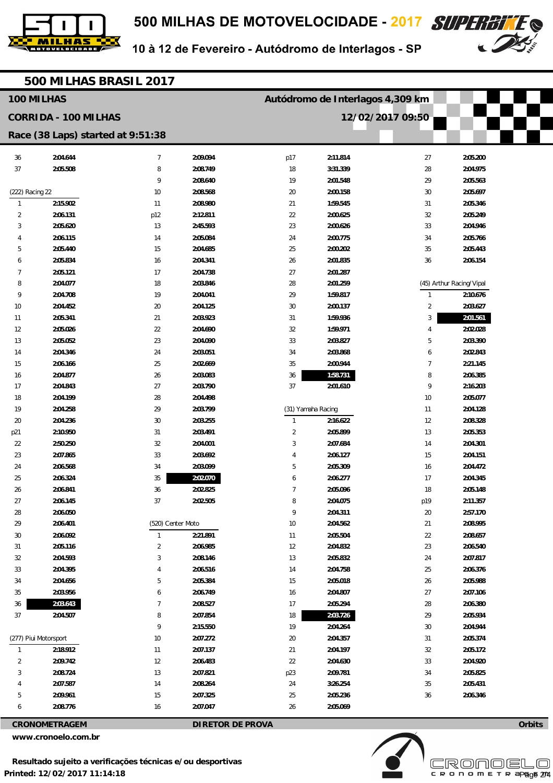



| 500 MILHAS BRASIL 2017      |                                   |                   |          |                         |                                  |                  |                          |  |
|-----------------------------|-----------------------------------|-------------------|----------|-------------------------|----------------------------------|------------------|--------------------------|--|
|                             | 100 MILHAS                        |                   |          |                         | Autódromo de Interlagos 4,309 km |                  |                          |  |
| <b>CORRIDA - 100 MILHAS</b> |                                   |                   |          |                         |                                  | 12/02/2017 09:50 |                          |  |
|                             | Race (38 Laps) started at 9:51:38 |                   |          |                         |                                  |                  |                          |  |
| 36                          | 2:04.644                          | $\overline{7}$    | 2:09.094 | p17                     | 2:11.814                         | 27               | 2:05.200                 |  |
| 37                          | 2:05.508                          | 8                 | 2:08.749 | 18                      | 3:31.339                         | 28               | 2:04.975                 |  |
|                             |                                   | 9                 | 2:08.640 | 19                      | 2:01.548                         | 29               | 2:05.563                 |  |
| (222) Racing 22             |                                   | 10                | 2:08.568 | 20                      | 2:00.158                         | 30               | 2:05.697                 |  |
| $\overline{1}$              | 2:15.902                          | 11                | 2:08.980 | 21                      | 1:59.545                         | 31               | 2:05.346                 |  |
| 2                           | 2:06.131                          | p12               | 2:12.811 | 22                      | 2:00.625                         | 32               | 2:05.249                 |  |
| 3                           | 2:05.620                          | 13                | 2:45.593 | 23                      | 2:00.626                         | 33               | 2:04.946                 |  |
| 4                           | 2:06.115                          | 14                | 2:05.084 | 24                      | 2:00.775                         | 34               | 2:05.766                 |  |
| 5                           | 2:05.440                          | 15                | 2:04.685 | 25                      | 2:00.202                         | 35               | 2:05.443                 |  |
| 6                           | 2:05.834                          | 16                | 2:04.341 | 26                      | 2:01.835                         | 36               | 2:06.154                 |  |
| 7                           | 2:05.121                          | 17                | 2:04.738 | 27                      | 2:01.287                         |                  |                          |  |
| 8                           | 2:04.077                          | 18                | 2:03.846 | 28                      | 2:01.259                         |                  | (45) Arthur Racing/Vipal |  |
| 9                           | 2:04.708                          | 19                | 2:04.041 | 29                      | 1:59.817                         | $\mathbf{1}$     | 2:10.676                 |  |
| 10                          | 2:04.452                          | 20                | 2:04.125 | 30                      | 2:00.137                         | $\overline{2}$   | 2:03.627                 |  |
| 11                          | 2:05.341                          | 21                | 2:03.923 | 31                      | 1:59.936                         | 3                | 2:01.561                 |  |
| 12                          | 2:05.026                          | 22                | 2:04.690 | 32                      | 1:59.971                         | 4                | 2:02.028                 |  |
| 13                          | 2:05.052                          | 23                | 2:04.090 | 33                      | 2:03.827                         | 5                | 2:03.390                 |  |
| 14                          | 2:04.346                          | 24                | 2:03.051 | 34                      | 2:03.868                         | 6                | 2:02.843                 |  |
| 15                          | 2:06.166                          | 25                | 2:02.669 | 35                      | 2:00.944                         | 7                | 2:21.145                 |  |
| 16                          | 2:04.877                          | 26                | 2:03.083 | 36                      | 1:58.731                         | 8                | 2:06.385                 |  |
| 17                          | 2:04.843                          | 27                | 2:03.790 | 37                      | 2:01.610                         | 9                | 2:16.203                 |  |
| 18                          | 2:04.199                          | 28                | 2:04.498 |                         |                                  | 10               | 2:05.077                 |  |
| 19                          | 2:04.258                          | 29                | 2:03.799 | (31) Yamaha Racing      |                                  | 11               | 2:04.128                 |  |
| 20                          | 2:04.236                          | 30                | 2:03.255 | $\mathbf{1}$            | 2:16.622                         | 12               | 2:08.328                 |  |
| p21                         | 2:10.950                          | 31                | 2:03.491 | $\overline{\mathbf{c}}$ | 2:05.899                         | 13               | 2:05.353                 |  |
| 22                          | 2:50.250                          | 32                | 2:04.001 | 3                       | 2:07.684                         | 14               | 2:04.301                 |  |
| 23                          | 2:07.865                          | 33                | 2:03.692 | 4                       | 2:06.127                         | 15               | 2:04.151                 |  |
| 24                          | 2:06.568                          | 34                | 2:03.099 | 5                       | 2:05.309                         | 16               | 2:04.472                 |  |
| 25                          | 2:06.324                          | 35                | 2:02.070 | 6                       | 2:06.277                         | 17               | 2:04.345                 |  |
| 26                          | 2:06.841                          | $36\,$            | 2:02.825 | 7                       | 2:05.096                         | 18               | 2:05.148                 |  |
| 27<br>28                    | 2:06.145<br>2:06.050              | 37                | 2:02.505 | 8<br>9                  | 2:04.075<br>2:04.311             | p19<br>20        | 2:11.357<br>2:57.170     |  |
| 29                          | 2:06.401                          | (520) Center Moto |          | $10$                    | 2:04.562                         | 21               | 2:08.995                 |  |
| $30\,$                      | 2:06.092                          | $\mathbf{1}$      | 2:21.891 | 11                      | 2:05.504                         | 22               | 2:08.657                 |  |
| 31                          | 2:05.116                          | 2                 | 2:06.985 | 12                      | 2:04.832                         | 23               | 2:06.540                 |  |
| 32                          | 2:04.593                          | 3                 | 2:08.146 | 13                      | 2:05.832                         | 24               | 2:07.817                 |  |
| 33                          | 2:04.395                          |                   | 2:06.516 | 14                      | 2:04.758                         | 25               | 2:06.376                 |  |
| 34                          | 2:04.656                          | 5                 | 2:05.384 | 15                      | 2:05.018                         | 26               | 2:05.988                 |  |
| 35                          | 2:03.956                          | 6                 | 2:06.749 | 16                      | 2:04.807                         | 27               | 2:07.106                 |  |
| 36                          | 2:03.643                          | 7                 | 2:08.527 | 17                      | 2:05.294                         | 28               | 2:06.380                 |  |
| 37                          | 2:04.507                          | 8                 | 2:07.854 | 18                      | 2:03.726                         | 29               | 2:05.934                 |  |
|                             |                                   | 9                 | 2:15.550 | 19                      | 2:04.264                         | $30\,$           | 2:04.944                 |  |
|                             | (277) Piui Motorsport             | 10                | 2:07.272 | 20                      | 2:04.357                         | 31               | 2:05.374                 |  |
| $\overline{1}$              | 2:18.912                          | 11                | 2:07.137 | 21                      | 2:04.197                         | 32               | 2:05.172                 |  |
| 2                           | 2:09.742                          | 12                | 2:06.483 | 22                      | 2:04.630                         | 33               | 2:04.920                 |  |
| 3                           | 2:08.724                          | 13                | 2:07.821 | p23                     | 2:09.781                         | 34               | 2:05.825                 |  |
| 4                           | 2:07.587                          | 14                | 2:08.264 | 24                      | 3:26.254                         | 35               | 2:05.431                 |  |
| 5                           | 2:09.961                          | 15                | 2:07.325 | 25                      | 2:05.236                         | 36               | 2:06.346                 |  |
| 6                           | 2:08.776                          | 16                | 2:07.047 | 26                      | 2:05.069                         |                  |                          |  |

**CRONOMETRAGEM DIRETOR DE PROVA** 

**www.cronoelo.com.br** 



**Orbits**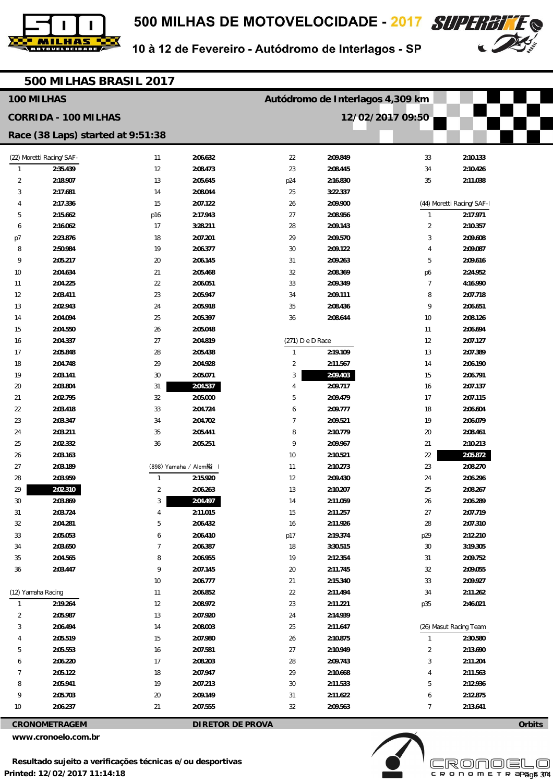



|                             | 500 MILHAS BRASIL 2017            |              |                      |                  |                                  |                  |                          |  |
|-----------------------------|-----------------------------------|--------------|----------------------|------------------|----------------------------------|------------------|--------------------------|--|
|                             | 100 MILHAS                        |              |                      |                  | Autódromo de Interlagos 4,309 km |                  |                          |  |
| <b>CORRIDA - 100 MILHAS</b> |                                   |              |                      |                  |                                  | 12/02/2017 09:50 |                          |  |
|                             | Race (38 Laps) started at 9:51:38 |              |                      |                  |                                  |                  |                          |  |
|                             |                                   |              |                      |                  |                                  |                  |                          |  |
|                             | (22) Moretti Racing/SAF-          | 11           | 2:06.632             | 22               | 2:09.849                         | 33               | 2:10.133                 |  |
| $\mathbf{1}$                | 2:35.439                          | 12           | 2:08.473             | 23               | 2:08.445                         | 34               | 2:10.426                 |  |
| 2                           | 2:18.907                          | 13           | 2:05.645             | p24              | 2:16.830                         | 35               | 2:11.038                 |  |
| 3<br>4                      | 2:17.681<br>2:17.336              | 14<br>15     | 2:08.044<br>2:07.122 | 25<br>26         | 3:22.337<br>2:09.900             |                  | (44) Moretti Racing/SAF- |  |
| 5                           | 2:15.662                          | p16          | 2:17.943             | 27               | 2:08.956                         | $\mathbf{1}$     | 2:17.971                 |  |
| 6                           | 2:16.062                          | 17           | 3:28.211             | 28               | 2:09.143                         | $\overline{2}$   | 2:10.357                 |  |
| p7                          | 2:23.876                          | 18           | 2:07.201             | 29               | 2:09.570                         | 3                | 2:09.608                 |  |
| 8                           | 2:50.984                          | 19           | 2:06.377             | 30               | 2:09.122                         | 4                | 2:09.087                 |  |
| 9                           | 2:05.217                          | 20           | 2:06.145             | 31               | 2:09.263                         | 5                | 2:09.616                 |  |
| 10                          | 2:04.634                          | 21           | 2:05.468             | 32               | 2:08.369                         | p6               | 2:24.952                 |  |
| 11                          | 2:04.225                          | 22           | 2:06.051             | 33               | 2:09.349                         | 7                | 4:16.990                 |  |
| 12                          | 2:03.411                          | 23           | 2:05.947             | 34               | 2:09.111                         | 8                | 2:07.718                 |  |
| 13                          | 2:02.943                          | 24           | 2:05.918             | 35               | 2:08.436                         | 9                | 2:06.651                 |  |
| 14                          | 2:04.094                          | 25           | 2:05.397             | 36               | 2:08.644                         | 10               | 2:08.126                 |  |
| 15                          | 2:04.550                          | 26           | 2:05.048             |                  |                                  | 11               | 2:06.694                 |  |
| 16                          | 2:04.337                          | 27           | 2:04.819             | (271) D e D Race |                                  | 12               | 2:07.127                 |  |
| 17                          | 2:05.848                          | 28           | 2:05.438             | $\mathbf{1}$     | 2:19.109                         | 13               | 2:07.389                 |  |
| 18                          | 2:04.748                          | 29           | 2:04.928             | $\overline{2}$   | 2:11.567                         | 14               | 2:06.190                 |  |
| 19                          | 2:03.141                          | 30           | 2:05.071             | 3                | 2:09.403                         | 15               | 2:06.791                 |  |
| 20                          | 2:03.804                          | 31           | 2:04.537             | 4                | 2:09.717                         | 16               | 2:07.137                 |  |
| 21                          | 2:02.795                          | 32           | 2:05.000             | 5                | 2:09.479                         | 17               | 2:07.115                 |  |
| 22                          | 2:03.418                          | 33           | 2:04.724             | 6                | 2:09.777                         | 18               | 2:06.604                 |  |
| 23                          | 2:03.347                          | 34           | 2:04.702             | $\overline{7}$   | 2:09.521                         | 19               | 2:06.079                 |  |
| 24                          | 2:03.211                          | 35           | 2:05.441             | 8                | 2:10.779                         | 20               | 2:08.461                 |  |
| 25                          | 2:02.332                          | 36           | 2:05.251             | 9                | 2:09.967                         | 21               | 2:10.213                 |  |
| 26                          | 2:03.163                          |              |                      | 10               | 2:10.521                         | 22               | 2:05.872                 |  |
| 27                          | 2:03.189                          |              | (898) Yamaha / Alem縊 | 11               | 2:10.273                         | 23               | 2:08.270                 |  |
| 28                          | 2:03.959                          | $\mathbf{1}$ | 2:15.920             | 12               | 2:09.430                         | 24               | 2:06.296                 |  |
| 29                          | 2:02.310                          | 2            | 2:06.263             | 13               | 2:10.207                         | 25               | 2:08.267                 |  |
| 30                          | 2:03.869                          | $\sqrt{3}$   | 2:04.497             | 14               | 2:11.059                         | 26               | 2:06.289                 |  |
| 31                          | 2:03.724                          | 4            | 2:11.015             | 15               | 2:11.257                         | 27               | 2:07.719                 |  |
| 32                          | 2:04.281                          | 5            | 2:06.432             | 16               | 2:11.926                         | 28               | 2:07.310                 |  |
| 33                          | 2:05.053                          | 6            | 2:06.410             | p17              | 2:19.374                         | p29              | 2:12.210                 |  |
| 34                          | 2:03.650                          | 7            | 2:06.387             | 18               | 3:30.515                         | 30               | 3:19.305                 |  |
| 35                          | 2:04.565                          | 8            | 2:06.955             | 19               | 2:12.354                         | 31               | 2:09.752                 |  |
| 36                          | 2:03.447                          | 9            | 2:07.145             | 20               | 2:11.745                         | $32\,$           | 2:09.055                 |  |
|                             |                                   | $10$         | 2:06.777             | 21               | 2:15.340                         | 33               | 2:09.927                 |  |
|                             | (12) Yamaha Racing                | 11           | 2:06.852             | 22               | 2:11.494                         | 34               | 2:11.262                 |  |
| 1                           | 2:19.264                          | 12           | 2:08.972             | 23               | 2:11.221                         | p35              | 2:46.021                 |  |
| 2                           | 2:05.987                          | 13           | 2:07.920             | 24               | 2:14.939                         |                  |                          |  |
| 3                           | 2:06.494                          | 14           | 2:08.003             | 25               | 2:11.647                         |                  | (26) Masut Racing Team   |  |
| 4                           | 2:05.519                          | 15           | 2:07.980             | 26               | 2:10.875                         | $\mathbf{1}$     | 2:30.580                 |  |
| 5                           | 2:05.553                          | 16           | 2:07.581             | 27               | 2:10.949                         | $\overline{2}$   | 2:13.690                 |  |
| 6                           | 2:06.220                          | 17           | 2:08.203             | 28               | 2:09.743                         | 3                | 2:11.204                 |  |
| $\overline{7}$              | 2:05.122                          | 18           | 2:07.947             | 29               | 2:10.668                         | 4                | 2:11.563                 |  |
| 8                           | 2:05.941                          | 19           | 2:07.213             | 30               | 2:11.533                         | 5                | 2:12.936                 |  |
| 9                           | 2:05.703                          | 20           | 2:09.149             | 31               | 2:11.622                         | 6                | 2:12.875                 |  |
| 10                          | 2:06.237                          | 21           | 2:07.555             | 32               | 2:09.563                         | $\overline{7}$   | 2:13.641                 |  |

**CRONOMETRAGEM DIRETOR DE PROVA** 

**www.cronoelo.com.br** 



**Orbits**